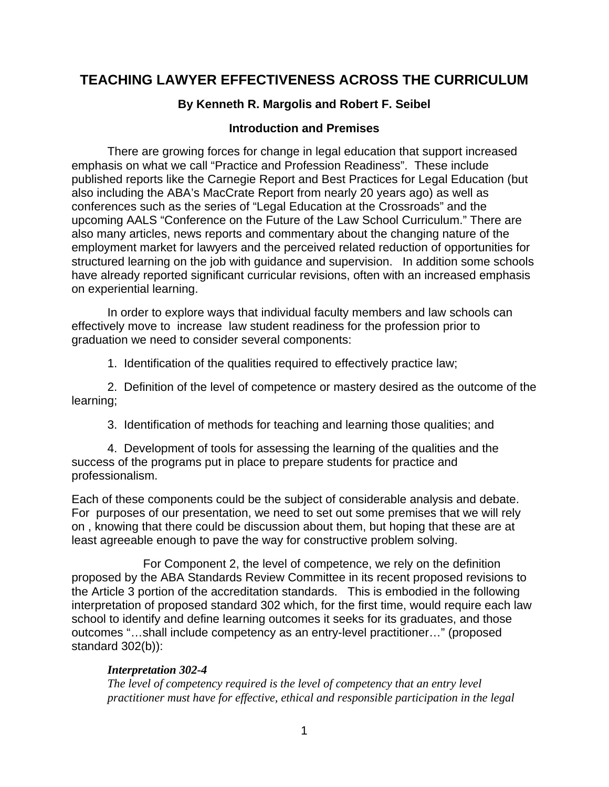## **TEACHING LAWYER EFFECTIVENESS ACROSS THE CURRICULUM**

### **By Kenneth R. Margolis and Robert F. Seibel**

#### **Introduction and Premises**

There are growing forces for change in legal education that support increased emphasis on what we call "Practice and Profession Readiness". These include published reports like the Carnegie Report and Best Practices for Legal Education (but also including the ABA's MacCrate Report from nearly 20 years ago) as well as conferences such as the series of "Legal Education at the Crossroads" and the upcoming AALS "Conference on the Future of the Law School Curriculum." There are also many articles, news reports and commentary about the changing nature of the employment market for lawyers and the perceived related reduction of opportunities for structured learning on the job with guidance and supervision. In addition some schools have already reported significant curricular revisions, often with an increased emphasis on experiential learning.

In order to explore ways that individual faculty members and law schools can effectively move to increase law student readiness for the profession prior to graduation we need to consider several components:

1. Identification of the qualities required to effectively practice law;

 2. Definition of the level of competence or mastery desired as the outcome of the learning;

3. Identification of methods for teaching and learning those qualities; and

 4. Development of tools for assessing the learning of the qualities and the success of the programs put in place to prepare students for practice and professionalism.

Each of these components could be the subject of considerable analysis and debate. For purposes of our presentation, we need to set out some premises that we will rely on , knowing that there could be discussion about them, but hoping that these are at least agreeable enough to pave the way for constructive problem solving.

 For Component 2, the level of competence, we rely on the definition proposed by the ABA Standards Review Committee in its recent proposed revisions to the Article 3 portion of the accreditation standards. This is embodied in the following interpretation of proposed standard 302 which, for the first time, would require each law school to identify and define learning outcomes it seeks for its graduates, and those outcomes "…shall include competency as an entry-level practitioner…" (proposed standard 302(b)):

#### *Interpretation 302-4*

*The level of competency required is the level of competency that an entry level practitioner must have for effective, ethical and responsible participation in the legal*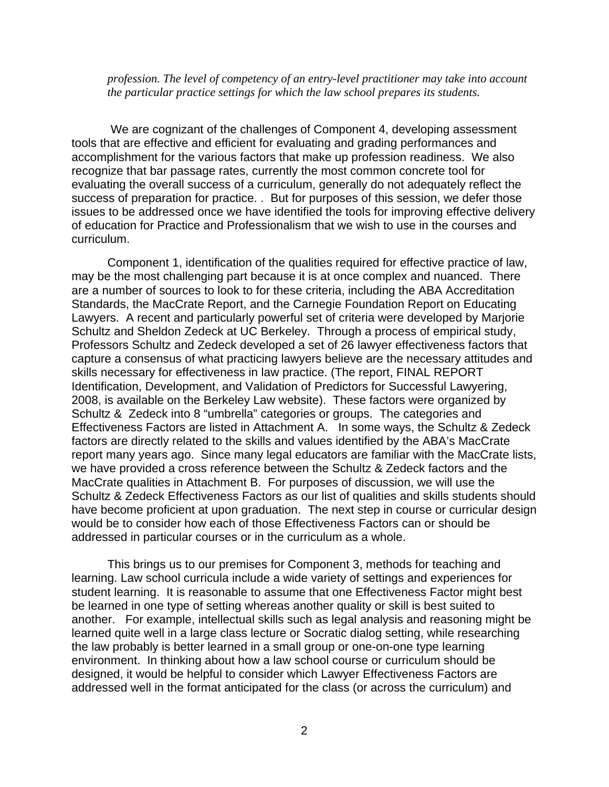*profession. The level of competency of an entry-level practitioner may take into account the particular practice settings for which the law school prepares its students.*

 We are cognizant of the challenges of Component 4, developing assessment tools that are effective and efficient for evaluating and grading performances and accomplishment for the various factors that make up profession readiness. We also recognize that bar passage rates, currently the most common concrete tool for evaluating the overall success of a curriculum, generally do not adequately reflect the success of preparation for practice. . But for purposes of this session, we defer those issues to be addressed once we have identified the tools for improving effective delivery of education for Practice and Professionalism that we wish to use in the courses and curriculum.

 Component 1, identification of the qualities required for effective practice of law, may be the most challenging part because it is at once complex and nuanced. There are a number of sources to look to for these criteria, including the ABA Accreditation Standards, the MacCrate Report, and the Carnegie Foundation Report on Educating Lawyers. A recent and particularly powerful set of criteria were developed by Marjorie Schultz and Sheldon Zedeck at UC Berkeley. Through a process of empirical study, Professors Schultz and Zedeck developed a set of 26 lawyer effectiveness factors that capture a consensus of what practicing lawyers believe are the necessary attitudes and skills necessary for effectiveness in law practice. (The report, FINAL REPORT Identification, Development, and Validation of Predictors for Successful Lawyering, 2008, is available on the Berkeley Law website). These factors were organized by Schultz & Zedeck into 8 "umbrella" categories or groups. The categories and Effectiveness Factors are listed in Attachment A. In some ways, the Schultz & Zedeck factors are directly related to the skills and values identified by the ABA's MacCrate report many years ago. Since many legal educators are familiar with the MacCrate lists, we have provided a cross reference between the Schultz & Zedeck factors and the MacCrate qualities in Attachment B. For purposes of discussion, we will use the Schultz & Zedeck Effectiveness Factors as our list of qualities and skills students should have become proficient at upon graduation. The next step in course or curricular design would be to consider how each of those Effectiveness Factors can or should be addressed in particular courses or in the curriculum as a whole.

This brings us to our premises for Component 3, methods for teaching and learning. Law school curricula include a wide variety of settings and experiences for student learning. It is reasonable to assume that one Effectiveness Factor might best be learned in one type of setting whereas another quality or skill is best suited to another. For example, intellectual skills such as legal analysis and reasoning might be learned quite well in a large class lecture or Socratic dialog setting, while researching the law probably is better learned in a small group or one-on-one type learning environment. In thinking about how a law school course or curriculum should be designed, it would be helpful to consider which Lawyer Effectiveness Factors are addressed well in the format anticipated for the class (or across the curriculum) and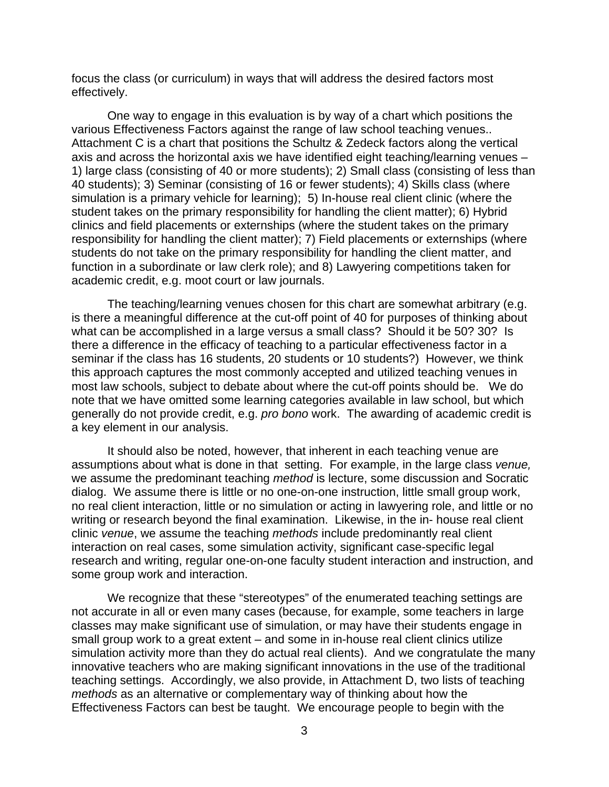focus the class (or curriculum) in ways that will address the desired factors most effectively.

One way to engage in this evaluation is by way of a chart which positions the various Effectiveness Factors against the range of law school teaching venues.. Attachment C is a chart that positions the Schultz & Zedeck factors along the vertical axis and across the horizontal axis we have identified eight teaching/learning venues – 1) large class (consisting of 40 or more students); 2) Small class (consisting of less than 40 students); 3) Seminar (consisting of 16 or fewer students); 4) Skills class (where simulation is a primary vehicle for learning); 5) In-house real client clinic (where the student takes on the primary responsibility for handling the client matter); 6) Hybrid clinics and field placements or externships (where the student takes on the primary responsibility for handling the client matter); 7) Field placements or externships (where students do not take on the primary responsibility for handling the client matter, and function in a subordinate or law clerk role); and 8) Lawyering competitions taken for academic credit, e.g. moot court or law journals.

The teaching/learning venues chosen for this chart are somewhat arbitrary (e.g. is there a meaningful difference at the cut-off point of 40 for purposes of thinking about what can be accomplished in a large versus a small class? Should it be 50? 30? Is there a difference in the efficacy of teaching to a particular effectiveness factor in a seminar if the class has 16 students, 20 students or 10 students?) However, we think this approach captures the most commonly accepted and utilized teaching venues in most law schools, subject to debate about where the cut-off points should be. We do note that we have omitted some learning categories available in law school, but which generally do not provide credit, e.g. *pro bono* work. The awarding of academic credit is a key element in our analysis.

It should also be noted, however, that inherent in each teaching venue are assumptions about what is done in that setting. For example, in the large class *venue,* we assume the predominant teaching *method* is lecture, some discussion and Socratic dialog. We assume there is little or no one-on-one instruction, little small group work, no real client interaction, little or no simulation or acting in lawyering role, and little or no writing or research beyond the final examination. Likewise, in the in- house real client clinic *venue*, we assume the teaching *methods* include predominantly real client interaction on real cases, some simulation activity, significant case-specific legal research and writing, regular one-on-one faculty student interaction and instruction, and some group work and interaction.

We recognize that these "stereotypes" of the enumerated teaching settings are not accurate in all or even many cases (because, for example, some teachers in large classes may make significant use of simulation, or may have their students engage in small group work to a great extent – and some in in-house real client clinics utilize simulation activity more than they do actual real clients). And we congratulate the many innovative teachers who are making significant innovations in the use of the traditional teaching settings. Accordingly, we also provide, in Attachment D, two lists of teaching *methods* as an alternative or complementary way of thinking about how the Effectiveness Factors can best be taught. We encourage people to begin with the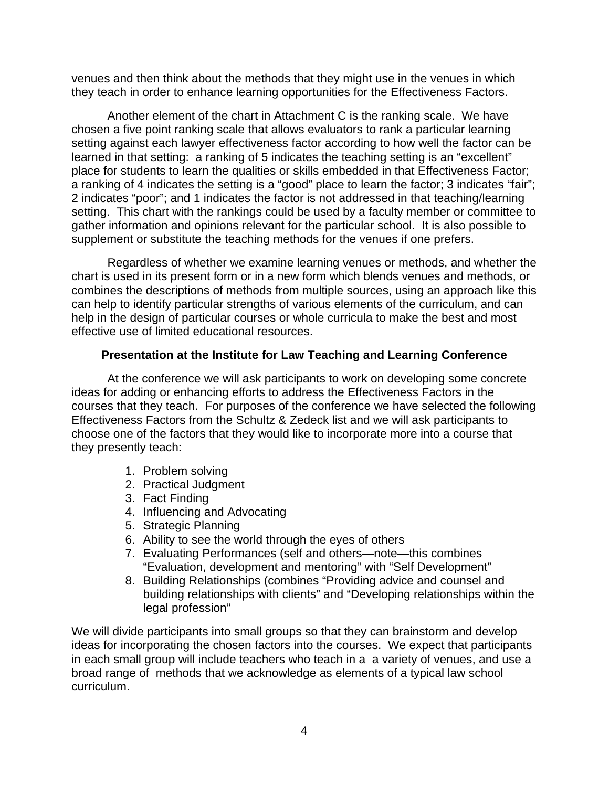venues and then think about the methods that they might use in the venues in which they teach in order to enhance learning opportunities for the Effectiveness Factors.

Another element of the chart in Attachment C is the ranking scale. We have chosen a five point ranking scale that allows evaluators to rank a particular learning setting against each lawyer effectiveness factor according to how well the factor can be learned in that setting: a ranking of 5 indicates the teaching setting is an "excellent" place for students to learn the qualities or skills embedded in that Effectiveness Factor; a ranking of 4 indicates the setting is a "good" place to learn the factor; 3 indicates "fair"; 2 indicates "poor"; and 1 indicates the factor is not addressed in that teaching/learning setting. This chart with the rankings could be used by a faculty member or committee to gather information and opinions relevant for the particular school. It is also possible to supplement or substitute the teaching methods for the venues if one prefers.

Regardless of whether we examine learning venues or methods, and whether the chart is used in its present form or in a new form which blends venues and methods, or combines the descriptions of methods from multiple sources, using an approach like this can help to identify particular strengths of various elements of the curriculum, and can help in the design of particular courses or whole curricula to make the best and most effective use of limited educational resources.

#### **Presentation at the Institute for Law Teaching and Learning Conference**

 At the conference we will ask participants to work on developing some concrete ideas for adding or enhancing efforts to address the Effectiveness Factors in the courses that they teach. For purposes of the conference we have selected the following Effectiveness Factors from the Schultz & Zedeck list and we will ask participants to choose one of the factors that they would like to incorporate more into a course that they presently teach:

- 1. Problem solving
- 2. Practical Judgment
- 3. Fact Finding
- 4. Influencing and Advocating
- 5. Strategic Planning
- 6. Ability to see the world through the eyes of others
- 7. Evaluating Performances (self and others—note—this combines "Evaluation, development and mentoring" with "Self Development"
- 8. Building Relationships (combines "Providing advice and counsel and building relationships with clients" and "Developing relationships within the legal profession"

We will divide participants into small groups so that they can brainstorm and develop ideas for incorporating the chosen factors into the courses. We expect that participants in each small group will include teachers who teach in a a variety of venues, and use a broad range of methods that we acknowledge as elements of a typical law school curriculum.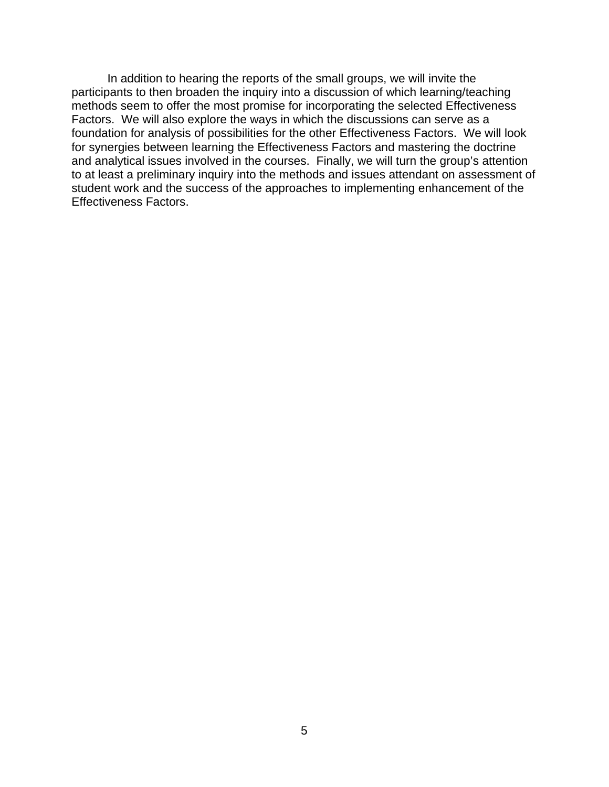In addition to hearing the reports of the small groups, we will invite the participants to then broaden the inquiry into a discussion of which learning/teaching methods seem to offer the most promise for incorporating the selected Effectiveness Factors. We will also explore the ways in which the discussions can serve as a foundation for analysis of possibilities for the other Effectiveness Factors. We will look for synergies between learning the Effectiveness Factors and mastering the doctrine and analytical issues involved in the courses. Finally, we will turn the group's attention to at least a preliminary inquiry into the methods and issues attendant on assessment of student work and the success of the approaches to implementing enhancement of the Effectiveness Factors.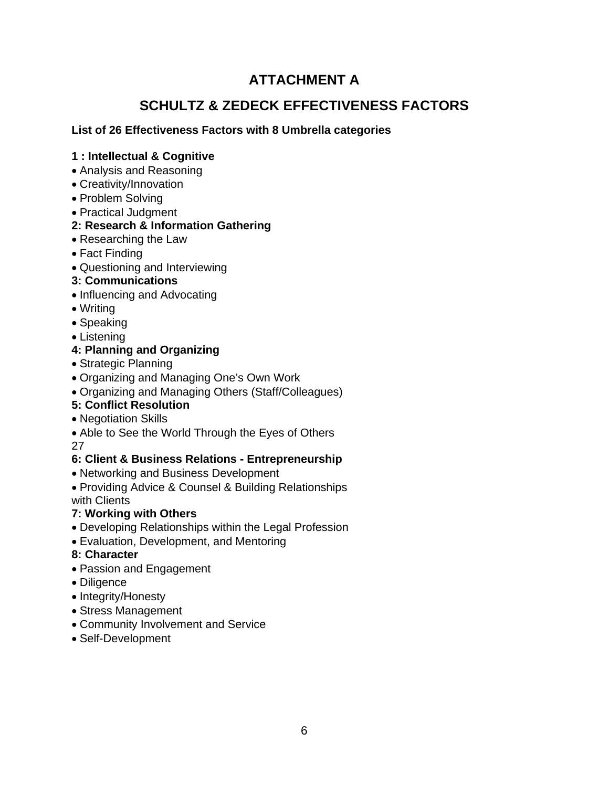## **ATTACHMENT A**

## **SCHULTZ & ZEDECK EFFECTIVENESS FACTORS**

#### **List of 26 Effectiveness Factors with 8 Umbrella categories**

#### **1 : Intellectual & Cognitive**

- Analysis and Reasoning
- Creativity/Innovation
- Problem Solving
- Practical Judgment

#### **2: Research & Information Gathering**

- Researching the Law
- Fact Finding
- Questioning and Interviewing

### **3: Communications**

- Influencing and Advocating
- Writing
- Speaking
- Listening

### **4: Planning and Organizing**

- Strategic Planning
- Organizing and Managing One's Own Work
- Organizing and Managing Others (Staff/Colleagues)

### **5: Conflict Resolution**

- Negotiation Skills
- Able to See the World Through the Eyes of Others 27

#### **6: Client & Business Relations - Entrepreneurship**

• Networking and Business Development

Providing Advice & Counsel & Building Relationships with Clients

### **7: Working with Others**

- Developing Relationships within the Legal Profession
- Evaluation, Development, and Mentoring
- **8: Character**
- Passion and Engagement
- Diligence
- Integrity/Honesty
- Stress Management
- Community Involvement and Service
- Self-Development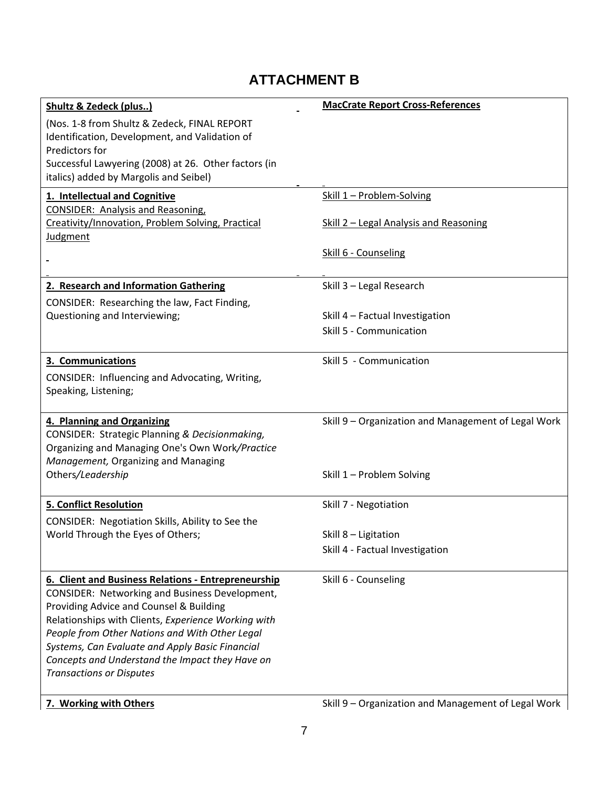## **ATTACHMENT B**

| <b>Shultz &amp; Zedeck (plus)</b>                                                                     | <b>MacCrate Report Cross-References</b>             |
|-------------------------------------------------------------------------------------------------------|-----------------------------------------------------|
| (Nos. 1-8 from Shultz & Zedeck, FINAL REPORT                                                          |                                                     |
| Identification, Development, and Validation of                                                        |                                                     |
| Predictors for                                                                                        |                                                     |
| Successful Lawyering (2008) at 26. Other factors (in                                                  |                                                     |
| italics) added by Margolis and Seibel)                                                                |                                                     |
| 1. Intellectual and Cognitive                                                                         | Skill 1 - Problem-Solving                           |
| <b>CONSIDER: Analysis and Reasoning,</b>                                                              |                                                     |
| Creativity/Innovation, Problem Solving, Practical<br>Judgment                                         | Skill 2 - Legal Analysis and Reasoning              |
|                                                                                                       |                                                     |
|                                                                                                       | Skill 6 - Counseling                                |
| 2. Research and Information Gathering                                                                 | Skill 3 - Legal Research                            |
| CONSIDER: Researching the law, Fact Finding,                                                          |                                                     |
| Questioning and Interviewing;                                                                         | Skill 4 - Factual Investigation                     |
|                                                                                                       | Skill 5 - Communication                             |
| 3. Communications                                                                                     | Skill 5 - Communication                             |
| CONSIDER: Influencing and Advocating, Writing,                                                        |                                                     |
| Speaking, Listening;                                                                                  |                                                     |
|                                                                                                       |                                                     |
| 4. Planning and Organizing                                                                            | Skill 9 - Organization and Management of Legal Work |
| CONSIDER: Strategic Planning & Decisionmaking,                                                        |                                                     |
| Organizing and Managing One's Own Work/Practice                                                       |                                                     |
| Management, Organizing and Managing                                                                   |                                                     |
| Others/Leadership                                                                                     | Skill 1 - Problem Solving                           |
| <b>5. Conflict Resolution</b>                                                                         | Skill 7 - Negotiation                               |
| CONSIDER: Negotiation Skills, Ability to See the                                                      |                                                     |
| World Through the Eyes of Others;                                                                     | Skill 8 - Ligitation                                |
|                                                                                                       | Skill 4 - Factual Investigation                     |
| 6. Client and Business Relations - Entrepreneurship                                                   | Skill 6 - Counseling                                |
| <b>CONSIDER: Networking and Business Development,</b>                                                 |                                                     |
| Providing Advice and Counsel & Building                                                               |                                                     |
| Relationships with Clients, Experience Working with<br>People from Other Nations and With Other Legal |                                                     |
| Systems, Can Evaluate and Apply Basic Financial                                                       |                                                     |
| Concepts and Understand the Impact they Have on                                                       |                                                     |
| <b>Transactions or Disputes</b>                                                                       |                                                     |
| 7. Working with Others                                                                                | Skill 9 - Organization and Management of Legal Work |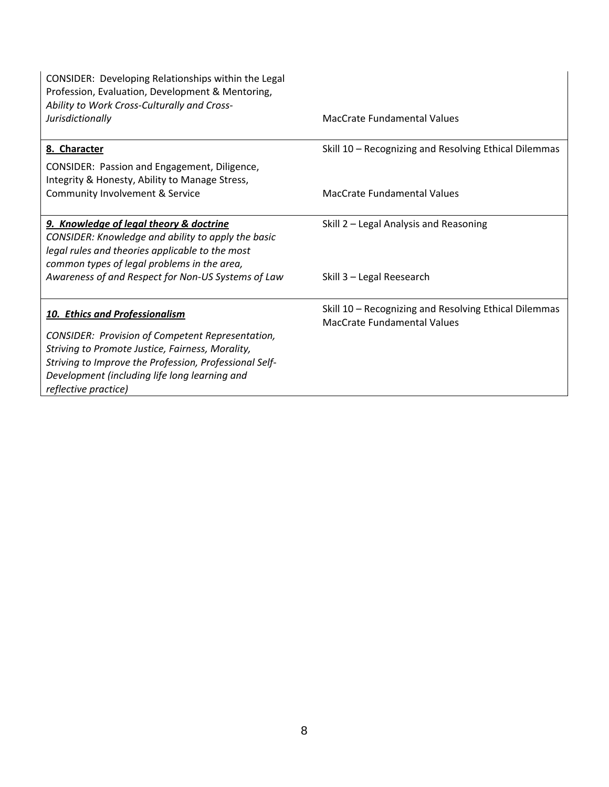| CONSIDER: Developing Relationships within the Legal<br>Profession, Evaluation, Development & Mentoring,<br>Ability to Work Cross-Culturally and Cross-<br>Jurisdictionally                      | <b>MacCrate Fundamental Values</b>                                                   |
|-------------------------------------------------------------------------------------------------------------------------------------------------------------------------------------------------|--------------------------------------------------------------------------------------|
|                                                                                                                                                                                                 |                                                                                      |
| 8. Character                                                                                                                                                                                    | Skill 10 - Recognizing and Resolving Ethical Dilemmas                                |
| CONSIDER: Passion and Engagement, Diligence,<br>Integrity & Honesty, Ability to Manage Stress,                                                                                                  |                                                                                      |
| Community Involvement & Service                                                                                                                                                                 | MacCrate Fundamental Values                                                          |
| 9. Knowledge of legal theory & doctrine<br>CONSIDER: Knowledge and ability to apply the basic<br>legal rules and theories applicable to the most<br>common types of legal problems in the area, | Skill 2 - Legal Analysis and Reasoning                                               |
| Awareness of and Respect for Non-US Systems of Law                                                                                                                                              | Skill 3 - Legal Reesearch                                                            |
| 10. Ethics and Professionalism                                                                                                                                                                  | Skill 10 - Recognizing and Resolving Ethical Dilemmas<br>MacCrate Fundamental Values |
| <b>CONSIDER: Provision of Competent Representation,</b>                                                                                                                                         |                                                                                      |
| Striving to Promote Justice, Fairness, Morality,<br>Striving to Improve the Profession, Professional Self-                                                                                      |                                                                                      |
| Development (including life long learning and<br>reflective practice)                                                                                                                           |                                                                                      |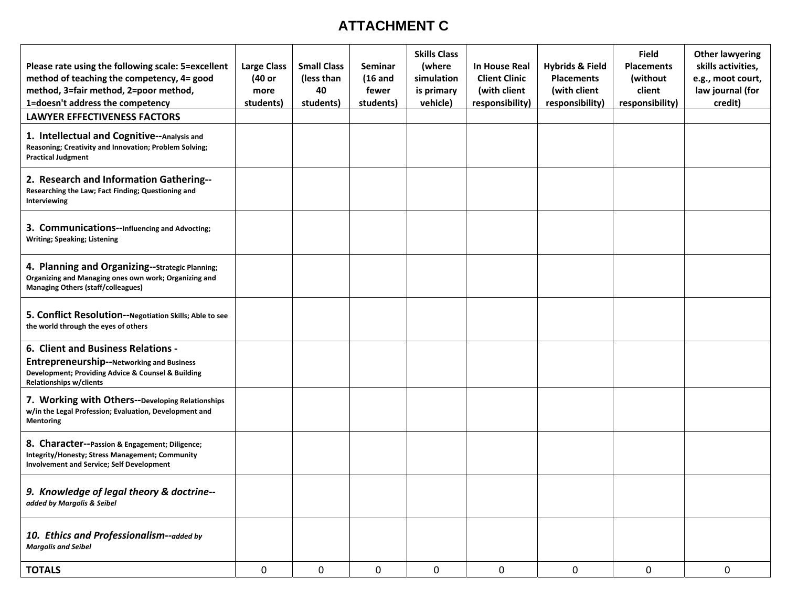## **ATTACHMENT C**

| Please rate using the following scale: 5=excellent<br>method of teaching the competency, 4= good<br>method, 3=fair method, 2=poor method,<br>1=doesn't address the competency | <b>Large Class</b><br>(40 or<br>more<br>students) | <b>Small Class</b><br>(less than<br>40<br>students) | Seminar<br>$(16$ and<br>fewer<br>students) | <b>Skills Class</b><br>(where<br>simulation<br>is primary<br>vehicle) | In House Real<br><b>Client Clinic</b><br>(with client<br>responsibility) | <b>Hybrids &amp; Field</b><br><b>Placements</b><br>(with client<br>responsibility) | <b>Field</b><br><b>Placements</b><br>(without<br>client<br>responsibility) | <b>Other lawyering</b><br>skills activities,<br>e.g., moot court,<br>law journal (for<br>credit) |
|-------------------------------------------------------------------------------------------------------------------------------------------------------------------------------|---------------------------------------------------|-----------------------------------------------------|--------------------------------------------|-----------------------------------------------------------------------|--------------------------------------------------------------------------|------------------------------------------------------------------------------------|----------------------------------------------------------------------------|--------------------------------------------------------------------------------------------------|
| <b>LAWYER EFFECTIVENESS FACTORS</b>                                                                                                                                           |                                                   |                                                     |                                            |                                                                       |                                                                          |                                                                                    |                                                                            |                                                                                                  |
| 1. Intellectual and Cognitive--Analysis and<br>Reasoning; Creativity and Innovation; Problem Solving;<br><b>Practical Judgment</b>                                            |                                                   |                                                     |                                            |                                                                       |                                                                          |                                                                                    |                                                                            |                                                                                                  |
| 2. Research and Information Gathering--<br>Researching the Law; Fact Finding; Questioning and<br>Interviewing                                                                 |                                                   |                                                     |                                            |                                                                       |                                                                          |                                                                                    |                                                                            |                                                                                                  |
| 3. Communications--Influencing and Advocting;<br><b>Writing; Speaking; Listening</b>                                                                                          |                                                   |                                                     |                                            |                                                                       |                                                                          |                                                                                    |                                                                            |                                                                                                  |
| 4. Planning and Organizing--Strategic Planning;<br>Organizing and Managing ones own work; Organizing and<br><b>Managing Others (staff/colleagues)</b>                         |                                                   |                                                     |                                            |                                                                       |                                                                          |                                                                                    |                                                                            |                                                                                                  |
| 5. Conflict Resolution--Negotiation Skills; Able to see<br>the world through the eyes of others                                                                               |                                                   |                                                     |                                            |                                                                       |                                                                          |                                                                                    |                                                                            |                                                                                                  |
| 6. Client and Business Relations -<br>Entrepreneurship--Networking and Business<br>Development; Providing Advice & Counsel & Building<br>Relationships w/clients              |                                                   |                                                     |                                            |                                                                       |                                                                          |                                                                                    |                                                                            |                                                                                                  |
| 7. Working with Others--Developing Relationships<br>w/in the Legal Profession; Evaluation, Development and<br><b>Mentoring</b>                                                |                                                   |                                                     |                                            |                                                                       |                                                                          |                                                                                    |                                                                            |                                                                                                  |
| 8. Character--Passion & Engagement; Diligence;<br>Integrity/Honesty; Stress Management; Community<br>Involvement and Service; Self Development                                |                                                   |                                                     |                                            |                                                                       |                                                                          |                                                                                    |                                                                            |                                                                                                  |
| 9. Knowledge of legal theory & doctrine--<br>added by Margolis & Seibel                                                                                                       |                                                   |                                                     |                                            |                                                                       |                                                                          |                                                                                    |                                                                            |                                                                                                  |
| 10. Ethics and Professionalism--added by<br><b>Margolis and Seibel</b>                                                                                                        |                                                   |                                                     |                                            |                                                                       |                                                                          |                                                                                    |                                                                            |                                                                                                  |
| <b>TOTALS</b>                                                                                                                                                                 | $\mathbf 0$                                       | $\mathbf 0$                                         | $\mathbf 0$                                | $\mathbf 0$                                                           | $\mathbf 0$                                                              | $\pmb{0}$                                                                          | $\mathbf 0$                                                                | $\mathbf 0$                                                                                      |